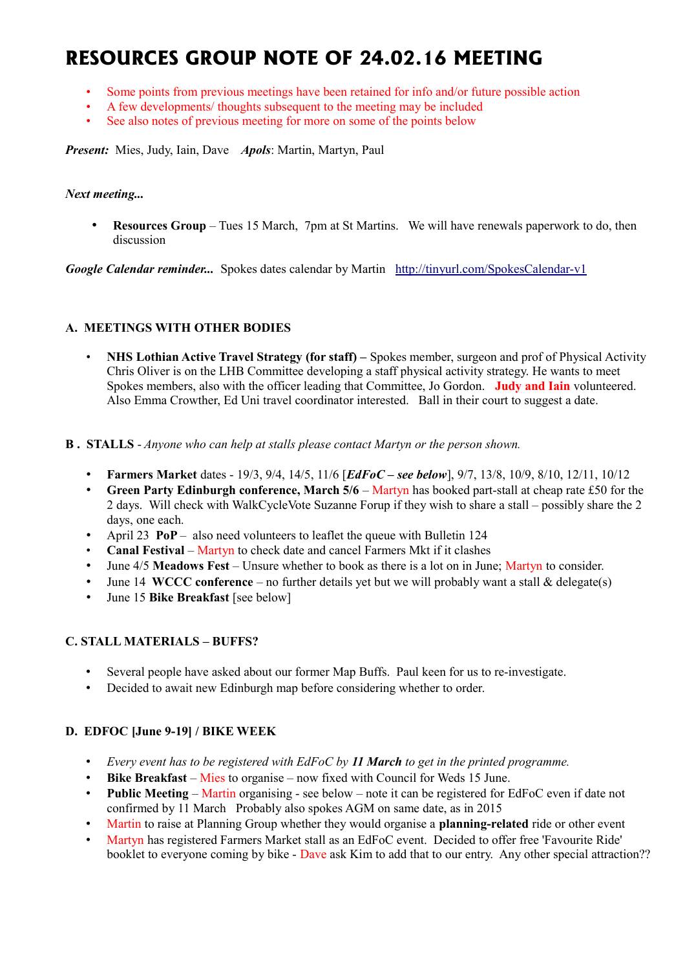# **RESOURCES GROUP NOTE OF 24.02.16 MEETING**

- Some points from previous meetings have been retained for info and/or future possible action
- A few developments/ thoughts subsequent to the meeting may be included
- See also notes of previous meeting for more on some of the points below

*Present:* Mies, Judy, Iain, Dave *Apols*: Martin, Martyn, Paul

#### *Next meeting...*

• **Resources Group** – Tues 15 March, 7pm at St Martins. We will have renewals paperwork to do, then discussion

*Google Calendar reminder...* Spokes dates calendar by Martin <http://tinyurl.com/SpokesCalendar-v1>

#### **A. MEETINGS WITH OTHER BODIES**

- **NHS Lothian Active Travel Strategy (for staff)** Spokes member, surgeon and prof of Physical Activity Chris Oliver is on the LHB Committee developing a staff physical activity strategy. He wants to meet Spokes members, also with the officer leading that Committee, Jo Gordon. **Judy and Iain** volunteered. Also Emma Crowther, Ed Uni travel coordinator interested. Ball in their court to suggest a date.
- **B . STALLS** *Anyone who can help at stalls please contact Martyn or the person shown.*
	- **Farmers Market** dates 19/3, 9/4, 14/5, 11/6 [*EdFoC see below*], 9/7, 13/8, 10/9, 8/10, 12/11, 10/12
	- **Green Party Edinburgh conference, March 5/6** Martyn has booked part-stall at cheap rate £50 for the 2 days. Will check with WalkCycleVote Suzanne Forup if they wish to share a stall – possibly share the 2 days, one each.
	- April 23 **PoP**  also need volunteers to leaflet the queue with Bulletin 124
	- **Canal Festival** Martyn to check date and cancel Farmers Mkt if it clashes
	- June 4/5 **Meadows Fest** Unsure whether to book as there is a lot on in June; Martyn to consider.
	- June 14 **WCCC conference** no further details yet but we will probably want a stall & delegate(s)
	- June 15 **Bike Breakfast** [see below]

## **C. STALL MATERIALS – BUFFS?**

- Several people have asked about our former Map Buffs. Paul keen for us to re-investigate.
- Decided to await new Edinburgh map before considering whether to order.

## **D. EDFOC [June 9-19] / BIKE WEEK**

- *Every event has to be registered with EdFoC by 11 March to get in the printed programme.*
- **Bike Breakfast** Mies to organise now fixed with Council for Weds 15 June.
- **Public Meeting** Martin organising see below note it can be registered for EdFoC even if date not confirmed by 11 March Probably also spokes AGM on same date, as in 2015
- Martin to raise at Planning Group whether they would organise a **planning-related** ride or other event
- Martyn has registered Farmers Market stall as an EdFoC event. Decided to offer free 'Favourite Ride' booklet to everyone coming by bike - Dave ask Kim to add that to our entry. Any other special attraction??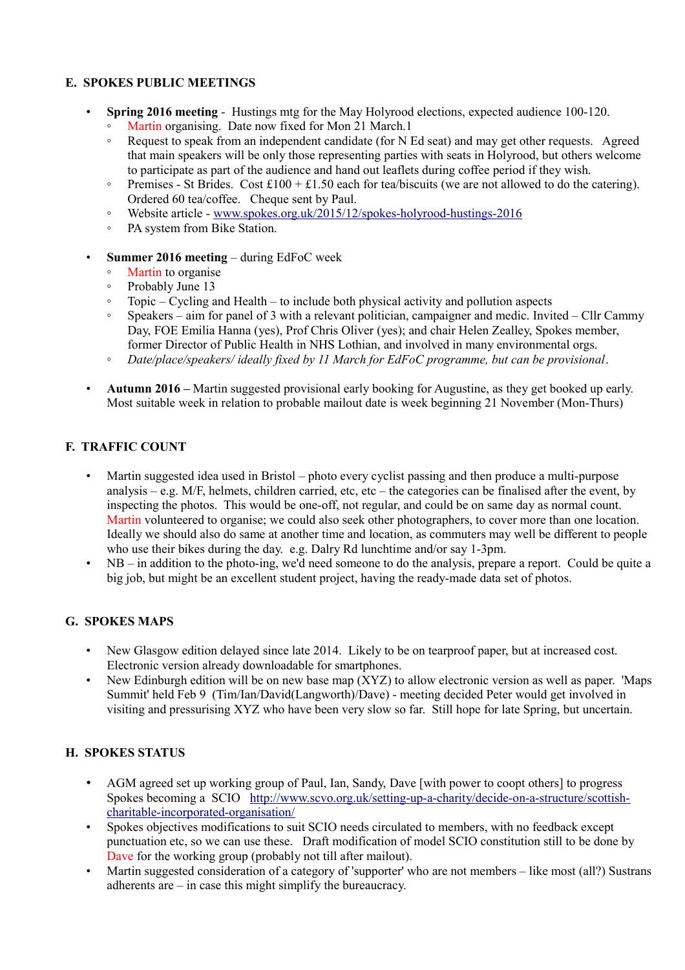## **E. SPOKES PUBLIC MEETINGS**

- **Spring 2016 meeting** Hustings mtg for the May Holyrood elections, expected audience 100-120.
	- Martin organising. Date now fixed for Mon 21 March.1
	- Request to speak from an independent candidate (for N Ed seat) and may get other requests. Agreed that main speakers will be only those representing parties with seats in Holyrood, but others welcome to participate as part of the audience and hand out leaflets during coffee period if they wish.
	- Premises St Brides. Cost £100 + £1.50 each for tea/biscuits (we are not allowed to do the catering). Ordered 60 tea/coffee. Cheque sent by Paul.
	- Website article - [www.spokes.org.uk/2015/12/spokes-holyrood-hustings-2016](http://www.spokes.org.uk/2015/12/spokes-holyrood-hustings-2016)
	- PA system from Bike Station.
- **Summer 2016 meeting** during EdFoC week
	- Martin to organise
	- Probably June 13
	- Topic Cycling and Health to include both physical activity and pollution aspects
	- Speakers aim for panel of 3 with a relevant politician, campaigner and medic. Invited Cllr Cammy Day, FOE Emilia Hanna (yes), Prof Chris Oliver (yes); and chair Helen Zealley, Spokes member, former Director of Public Health in NHS Lothian, and involved in many environmental orgs.
	- *Date/place/speakers/ ideally fixed by 11 March for EdFoC programme, but can be provisional*.
- **Autumn 2016 –** Martin suggested provisional early booking for Augustine, as they get booked up early. Most suitable week in relation to probable mailout date is week beginning 21 November (Mon-Thurs)

## **F. TRAFFIC COUNT**

- Martin suggested idea used in Bristol photo every cyclist passing and then produce a multi-purpose analysis – e.g. M/F, helmets, children carried, etc, etc – the categories can be finalised after the event, by inspecting the photos. This would be one-off, not regular, and could be on same day as normal count. Martin volunteered to organise; we could also seek other photographers, to cover more than one location. Ideally we should also do same at another time and location, as commuters may well be different to people who use their bikes during the day. e.g. Dalry Rd lunchtime and/or say 1-3pm.
- NB in addition to the photo-ing, we'd need someone to do the analysis, prepare a report. Could be quite a big job, but might be an excellent student project, having the ready-made data set of photos.

## **G. SPOKES MAPS**

- New Glasgow edition delayed since late 2014. Likely to be on tearproof paper, but at increased cost. Electronic version already downloadable for smartphones.
- New Edinburgh edition will be on new base map (XYZ) to allow electronic version as well as paper. 'Maps Summit' held Feb 9 (Tim/Ian/David(Langworth)/Dave) - meeting decided Peter would get involved in visiting and pressurising XYZ who have been very slow so far. Still hope for late Spring, but uncertain.

# **H. SPOKES STATUS**

- AGM agreed set up working group of Paul, Ian, Sandy, Dave [with power to coopt others] to progress Spokes becoming a SCIO [http://www.scvo.org.uk/setting-up-a-charity/decide-on-a-structure/scottish](http://www.scvo.org.uk/setting-up-a-charity/decide-on-a-structure/scottish-charitable-incorporated-organisation/)[charitable-incorporated-organisation/](http://www.scvo.org.uk/setting-up-a-charity/decide-on-a-structure/scottish-charitable-incorporated-organisation/)
- Spokes objectives modifications to suit SCIO needs circulated to members, with no feedback except punctuation etc, so we can use these. Draft modification of model SCIO constitution still to be done by Dave for the working group (probably not till after mailout).
- Martin suggested consideration of a category of 'supporter' who are not members like most (all?) Sustrans adherents are – in case this might simplify the bureaucracy.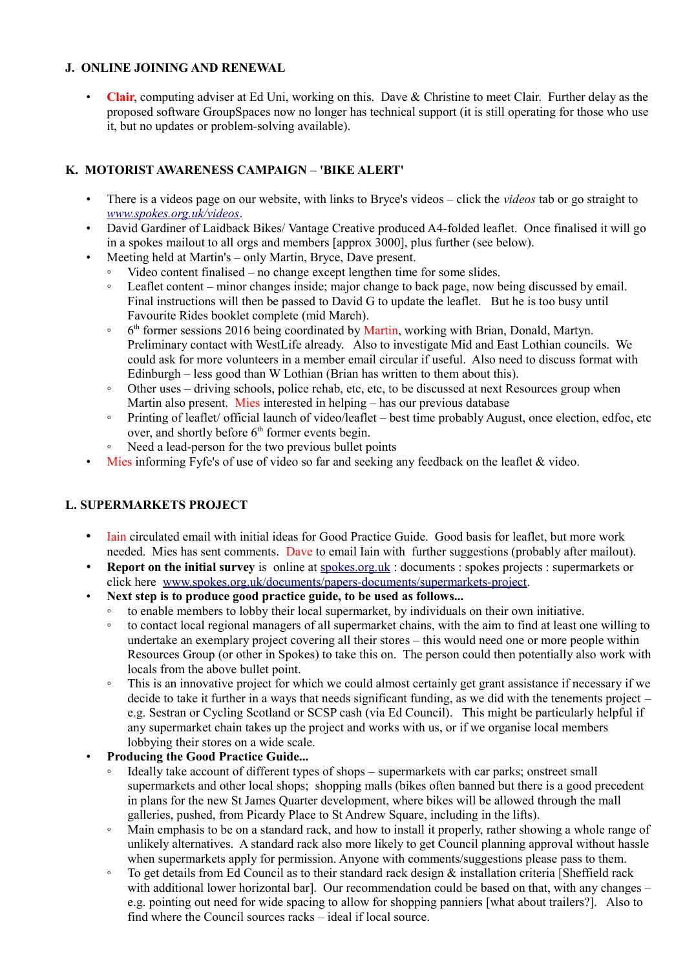## **J. ONLINE JOINING AND RENEWAL**

• **Clair**, computing adviser at Ed Uni, working on this. Dave & Christine to meet Clair. Further delay as the proposed software GroupSpaces now no longer has technical support (it is still operating for those who use it, but no updates or problem-solving available).

## **K. MOTORIST AWARENESS CAMPAIGN – 'BIKE ALERT'**

- There is a videos page on our website, with links to Bryce's videos click the *videos* tab or go straight to *[www.spokes.org.uk/videos](http://www.spokes.org.uk/videos)*.
- David Gardiner of Laidback Bikes/ Vantage Creative produced A4-folded leaflet. Once finalised it will go in a spokes mailout to all orgs and members [approx 3000], plus further (see below).
	- Meeting held at Martin's only Martin, Bryce, Dave present.
		- Video content finalised no change except lengthen time for some slides.
		- Leaflet content minor changes inside; major change to back page, now being discussed by email. Final instructions will then be passed to David G to update the leaflet. But he is too busy until Favourite Rides booklet complete (mid March).
		- $^{\circ}$  $6<sup>th</sup>$  former sessions 2016 being coordinated by Martin, working with Brian, Donald, Martyn. Preliminary contact with WestLife already. Also to investigate Mid and East Lothian councils. We could ask for more volunteers in a member email circular if useful. Also need to discuss format with Edinburgh – less good than W Lothian (Brian has written to them about this).
		- Other uses driving schools, police rehab, etc, etc, to be discussed at next Resources group when Martin also present. Mies interested in helping – has our previous database
		- Printing of leaflet/ official launch of video/leaflet best time probably August, once election, edfoc, etc over, and shortly before  $6<sup>th</sup>$  former events begin.
		- Need a lead-person for the two previous bullet points
- Mies informing Fyfe's of use of video so far and seeking any feedback on the leaflet & video.

# **L. SUPERMARKETS PROJECT**

- Iain circulated email with initial ideas for Good Practice Guide. Good basis for leaflet, but more work needed. Mies has sent comments. Dave to email Iain with further suggestions (probably after mailout).
- **Report on the initial survey** is online at spokes.org.uk: documents: spokes projects: supermarkets or click here [www.spokes.org.uk/documents/papers-documents/supermarkets-project.](http://www.spokes.org.uk/documents/papers-documents/supermarkets-project/)
- **Next step is to produce good practice guide, to be used as follows...**
	- to enable members to lobby their local supermarket, by individuals on their own initiative.
	- to contact local regional managers of all supermarket chains, with the aim to find at least one willing to undertake an exemplary project covering all their stores – this would need one or more people within Resources Group (or other in Spokes) to take this on. The person could then potentially also work with locals from the above bullet point.
	- This is an innovative project for which we could almost certainly get grant assistance if necessary if we decide to take it further in a ways that needs significant funding, as we did with the tenements project – e.g. Sestran or Cycling Scotland or SCSP cash (via Ed Council). This might be particularly helpful if any supermarket chain takes up the project and works with us, or if we organise local members lobbying their stores on a wide scale.
- **Producing the Good Practice Guide...**
	- Ideally take account of different types of shops supermarkets with car parks; onstreet small supermarkets and other local shops; shopping malls (bikes often banned but there is a good precedent in plans for the new St James Quarter development, where bikes will be allowed through the mall galleries, pushed, from Picardy Place to St Andrew Square, including in the lifts).
	- Main emphasis to be on a standard rack, and how to install it properly, rather showing a whole range of unlikely alternatives. A standard rack also more likely to get Council planning approval without hassle when supermarkets apply for permission. Anyone with comments/suggestions please pass to them.
	- To get details from Ed Council as to their standard rack design & installation criteria [Sheffield rack with additional lower horizontal bar]. Our recommendation could be based on that, with any changes – e.g. pointing out need for wide spacing to allow for shopping panniers [what about trailers?]. Also to find where the Council sources racks – ideal if local source.